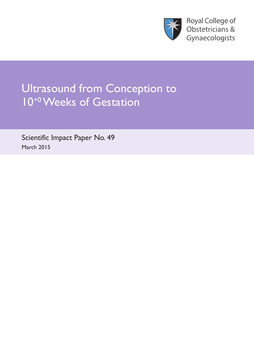

**Royal College of** Obstetricians & Gynaecologists

# Ultrasound from Conception to 10<sup>+0</sup> Weeks of Gestation

Scientific Impact Paper No. 49 March 2015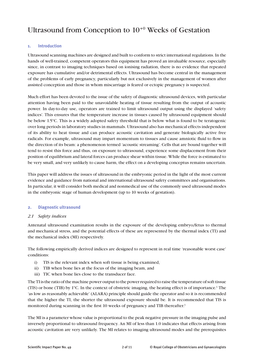## Ultrasound from Conception to 10+0 Weeks of Gestation

#### **1. Introduction**

Ultrasound scanning machines are designed and built to conform to strict international regulations. In the hands of well-trained, competent operators this equipment has proved an invaluable resource, especially since, in contrast to imaging techniques based on ionising radiation, there is no evidence that repeated exposure has cumulative and/or detrimental effects. Ultrasound has become central in the management of the problems of early pregnancy, particularly but not exclusively in the management of women after assisted conception and those in whom miscarriage is feared or ectopic pregnancy is suspected.

Much effort has been devoted to the issue of the safety of diagnostic ultrasound devices, with particular attention having been paid to the unavoidable heating of tissue resulting from the output of acoustic power. In day-to-day use, operators are trained to limit ultrasound output using the displayed 'safety indices'. This ensures that the temperature increase in tissues caused by ultrasound equipment should be below 1.5°C. This is a widely adopted safety threshold that is below what is found to be teratogenic over long periods in laboratory studies in mammals. Ultrasound also has mechanical effects independent of its ability to heat tissue and can produce acoustic cavitation and generate biologically active free radicals. For example, ultrasound may impart momentum to tissues and cause amniotic fluid to flow in the direction of its beam: a phenomenon termed 'acoustic streaming'. Cells that are bound together will tend to resist this force and thus, on exposure to ultrasound, experience some displacement from their position of equilibrium and lateral forces can produce shear within tissue. While the force is estimated to be very small, and very unlikely to cause harm, the effect on a developing conceptus remains uncertain.

This paper will address the issues of ultrasound in the embryonic period in the light of the most current evidence and guidance from national and international ultrasound safety committees and organisations. In particular, it will consider both medical and nonmedical use of the commonly used ultrasound modes in the embryonic stage of human development (up to 10 weeks of gestation).

#### **2. Diagnostic ultrasound**

#### *2.1 Safety indices*

Antenatal ultrasound examination results in the exposure of the developing embryo/fetus to thermal and mechanical stress, and the potential effects of these are represented by the thermal index (TI) and the mechanical index (MI) respectively.

The following empirically derived indices are designed to represent in real time 'reasonable worst case' conditions:

- i) TIS is the relevant index when soft tissue is being examined,
- ii) TIB when bone lies at the focus of the imaging beam, and
- iii) TIC when bone lies close to the transducer face.

The TI is the ratio of the machine power output to the power required to raise the temperature of soft tissue (TIS) or bone (TIB) by 1°C. In the context of obstetric imaging, the heating effect is of importance.1 The 'as low as reasonably achievable' (ALARA) principle should guide the operator and so it is recommended that the higher the TI, the shorter the ultrasound exposure should be. It is recommended that TIS is monitored during scanning in the first 10 weeks of pregnancy and TIB thereafter.<sup>1</sup>

The MI is a parameter whose value is proportional to the peak negative pressure in the imaging pulse and inversely proportional to ultrasound frequency. An MI of less than 1.0 indicates that effects arising from acoustic cavitation are very unlikely. The MI relates to imaging ultrasound modes and the prerequisites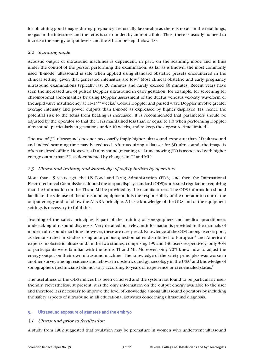for obtaining good images during pregnancy are usually favourable as there is no air in the fetal lungs, no gas in the intestines and the fetus is surrounded by amniotic fluid. Thus, there is usually no need to increase the energy output levels and the MI can be kept below 1.0.

### *2.2 Scanning mode*

Acoustic output of ultrasound machines is dependent, in part, on the scanning mode and is thus under the control of the person performing the examination. As far as is known, the most commonly used 'B-mode' ultrasound is safe when applied using standard obstetric presets encountered in the clinical setting, given that generated intensities are low.<sup>2</sup> Most clinical obstetric and early pregnancy ultrasound examinations typically last 20 minutes and rarely exceed 40 minutes. Recent years have seen the increased use of pulsed Doppler ultrasound in early gestation: for example, for screening for chromosomal abnormalities by using Doppler assessment of the ductus venosus velocity waveform or tricuspid valve insufficiency at 11-13<sup>+6</sup> weeks.<sup>3</sup> Colour Doppler and pulsed wave Doppler involve greater average intensity and power outputs than B-mode as expressed by higher displayed TIs; hence the potential risk to the fetus from heating is increased. It is recommended that parameters should be adjusted by the operator so that the TI is maintained less than or equal to 1.0 when performing Doppler ultrasound, particularly in gestations under 10 weeks, and to keep the exposure time limited.4

The use of 3D ultrasound does not necessarily imply higher ultrasound exposure than 2D ultrasound and indeed scanning time may be reduced. After acquiring a dataset for 3D ultrasound, the image is often analysed offline. However, 4D ultrasound (meaning real-time moving 3D) is associated with higher energy output than 2D as documented by changes in TI and MI.<sup>5</sup>

#### *2.3 Ultrasound training and knowledge of safety indices by operators*

More than 15 years ago, the US Food and Drug Administration (FDA) and then the International Electrotechnical Commission adopted the output display standard (ODS) and issued regulations requiring that the information on the TI and MI be provided by the manufacturers. The ODS information should facilitate the safe use of the ultrasound equipment; it is the responsibility of the operator to control the output energy and to follow the ALARA principle. A basic knowledge of the ODS and of the equipment settings is necessary to fulfil this.

Teaching of the safety principles is part of the training of sonographers and medical practitioners undertaking ultrasound diagnosis. Very detailed but relevant information is provided in the manuals of modern ultrasound machines; however, these are rarely read. Knowledge of the ODS among users is poor, as demonstrated in studies using anonymous questionnaires distributed to European<sup>6</sup> and American<sup>7</sup> experts in obstetric ultrasound. In the two studies, comprising 199 and 130 users respectively, only 30% of participants were familiar with the terms TI and MI. Moreover, only 20% knew how to adjust the energy output on their own ultrasound machine. The knowledge of the safety principles was worse in another survey among residents and fellows in obstetrics and gynaecology in the USA $^8$  and knowledge of sonographers (technicians) did not vary according to years of experience or credentialed status.<sup>9</sup>

The usefulness of the ODS indices has been criticised and the system not found to be particularly userfriendly. Nevertheless, at present, it is the only information on the output energy available to the user and therefore it is necessary to improve the level of knowledge among ultrasound operators by including the safety aspects of ultrasound in all educational activities concerning ultrasound diagnosis.

#### **3. Ultrasound exposure of gametes and the embryo**

#### *3.1 Ultrasound prior to fertilisation*

A study from 1982 suggested that ovulation may be premature in women who underwent ultrasound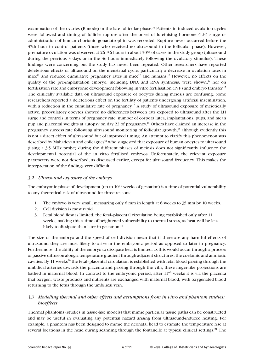examination of the ovaries (B-mode) in the late follicular phase.<sup>10</sup> Patients in induced ovulation cycles were followed and timing of follicle rupture after the onset of luteinising hormone (LH) surge or administration of human chorionic gonadotrophin was recorded. Rupture never occurred before the 37th hour in control patients (those who received no ultrasound in the follicular phase). However, premature ovulation was observed at 26–36 hours in about 50% of cases in the study group (ultrasound during the previous 3 days or in the 36 hours immediately following the ovulatory stimulus). These findings were concerning but the study has never been repeated. Other researchers have reported deleterious effects of ultrasound on the menstrual cycle, particularly a decrease in ovulation rates in mice<sup>11</sup> and reduced cumulative pregnancy rates in mice<sup>12</sup> and humans.<sup>13</sup> However, no effects on the quality of the pre-implantation embryo, including DNA and RNA synthesis, were shown, $14$  nor on fertilisation rate and embryonic development following in vitro fertilisation (IVF) and embryo transfer.15 The clinically available data on ultrasound exposure of oocytes during meiosis are confusing. Some researchers reported a deleterious effect on the fertility of patients undergoing artificial insemination, with a reduction in the cumulative rate of pregnancy.<sup>16</sup> A study of ultrasound exposure of meiotically active, preovulatory oocytes showed no differences between rats exposed to ultrasound after the LH surge and controls in terms of pregnancy rate, number of corpora lutea, implantations, pups, and mean pup and placental weights at autopsy on day 22 of pregnancy.16 Others have claimed an increase in the pregnancy success rate following ultrasound monitoring of follicular growth,<sup>17</sup> although evidently this is not a direct effect of ultrasound but of improved timing. An attempt to clarify this phenomenon was described by Mahadevan and colleagues<sup>18</sup> who suggested that exposure of human oocytes to ultrasound (using a 3.5 MHz probe) during the different phases of meiosis does not significantly influence the developmental potential of the in vitro fertilised embryos. Unfortunately, the relevant exposure parameters were not described, as discussed earlier, except for ultrasound frequency. This makes the interpretation of the findings very difficult.

#### *3.2 Ultrasound exposure of the embryo*

The embryonic phase of development (up to  $10^{+0}$  weeks of gestation) is a time of potential vulnerability to any theoretical risk of ultrasound for three reasons:

- 1. The embryo is very small, measuring only 6 mm in length at 6 weeks to 35 mm by 10 weeks.
- 2. Cell division is most rapid.
- 3. Fetal blood flow is limited, the fetal–placental circulation being established only after 11 weeks, making this a time of heightened vulnerability to thermal stress, as heat will be less likely to dissipate than later in gestation.<sup>19</sup>

The size of the embryo and the speed of cell division mean that if there are any harmful effects of ultrasound they are most likely to arise in the embryonic period as opposed to later in pregnancy. Furthermore, the ability of the embryo to dissipate heat is limited, as this would occur through a process of passive diffusion along a temperature gradient through adjacent structures: the coelomic and amniotic cavities. By 11 weeks<sup>20</sup> the fetal–placental circulation is established with fetal blood passing through the umbilical arteries towards the placenta and passing through the villi; these finger-like projections are bathed in maternal blood. In contrast to the embryonic period, after  $11^{+0}$  weeks it is via the placenta that oxygen, waste products and nutrients are exchanged with maternal blood, with oxygenated blood returning to the fetus through the umbilical vein.

### *3.3 Modelling thermal and other effects and assumptions from in vitro and phantom studies: bioeffects*

Thermal phantoms (studies in tissue-like models) that mimic particular tissue paths can be constructed and may be useful in evaluating any potential hazard arising from ultrasound-induced heating. For example, a phantom has been designed to mimic the neonatal head to estimate the temperature rise at several locations in the head during scanning through the fontanelle at typical clinical settings.<sup>21</sup> The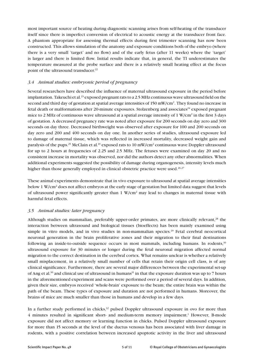most important source of heating during diagnostic scanning arises from self-heating of the transducer itself since there is imperfect conversion of electrical to acoustic energy at the transducer front face. A phantom appropriate for assessing thermal effects during first trimester scanning has now been constructed. This allows simulation of the anatomy and exposure conditions both of the embryo (where there is a very small 'target' and no flow) and of the early fetus (after 11 weeks) where the 'target' is larger and there is limited flow. Initial results indicate that, in general, the TI underestimates the temperature measured at the probe surface and there is a relatively small heating effect at the focus point of the ultrasound transducer.<sup>22</sup>

#### *3.4 Animal studies: embryonic period of pregnancy*

Several researchers have described the influence of maternal ultrasound exposure in the period before implantation. Takeuchi et al.<sup>23</sup> exposed pregnant rats to a 2.5 MHz continuous wave ultrasound field on the second and third day of gestation at spatial average intensities of 150 mW/cm<sup>2</sup>. They found no increase in fetal death or malformations after 20-minute exposures. Stolzenberg and associates $24$  exposed pregnant mice to 2 MHz of continuous wave ultrasound at a spatial average intensity of 1 W/cm<sup>2</sup> in the first 3 days of gestation. A decreased pregnancy rate was noted after exposure for 200 seconds on day zero and 300 seconds on day three. Decreased birthweight was observed after exposure for 100 and 200 seconds on day zero and 200 and 400 seconds on day one. In another series of studies, ultrasound exposure led to damage of maternal tissue, which was reflected in increased mortality, decreased weight gain and paralysis of the pups.<sup>25</sup> McClain et al.<sup>19</sup> exposed rats to 10 mW/cm<sup>2</sup> continuous wave Doppler ultrasound for up to 2 hours at frequencies of 2.25 and 2.5 MHz. The fetuses were examined on day 20 and no consistent increase in mortality was observed, nor did the authors detect any other abnormalities. When additional experiments suggested the possibility of damage during organogenesis, intensity levels much higher than those generally employed in clinical obstetric practice were used.<sup>26,27</sup>

These animal experiments demonstrate that in vivo exposure to ultrasound at spatial average intensities below 1 W/cm<sup>2</sup> does not affect embryos at the early stage of gestation but limited data suggest that levels of ultrasound power significantly greater than 1 W/cm<sup>2</sup> may lead to changes in maternal tissue with harmful fetal effects.

#### *3.5 Animal studies: later pregnancy*

Although studies on mammalian, preferably upper-order primates, are more clinically relevant,<sup>28</sup> the interaction between ultrasound and biological tissues (bioeffects) has been mainly examined using simple in vitro models, and in vivo studies in non-mammalian species.<sup>29</sup> Fetal cerebral neocortical neuronal generation in the brain proliferative zones and their migration to their final destinations following an inside-to-outside sequence occurs in most mammals, including humans. In rodents,<sup>30</sup> ultrasound exposure for 30 minutes or longer during the fetal neuronal migration affected normal migration to the correct destination in the cerebral cortex. What remains unclear is whether a relatively small misplacement, in a relatively small number of cells that retain their origin cell class, is of any clinical significance. Furthermore, there are several major differences between the experimental set-up of Ang et al.<sup>30</sup> and clinical use of ultrasound in humans<sup>31</sup> in that the exposure duration was up to 7 hours in the aforementioned experiment and scans were performed over a period of several days. In addition, given their size, embryos received 'whole-brain' exposure to the beam; the entire brain was within the path of the beam. These types of exposure and duration are not performed in humans. Moreover, the brains of mice are much smaller than those in humans and develop in a few days.

In a further study performed in chicks, $32$  pulsed Doppler ultrasound exposure in ovo for more than 4 minutes resulted in significant short- and medium-term memory impairment.<sup>1</sup> However, B-mode exposure did not affect memory or learning function in chicks. Pulsed Doppler ultrasound exposure for more than 15 seconds at the level of the ductus venosus has been associated with liver damage in rodents, with a positive correlation between increased apoptotic activity in the liver and ultrasound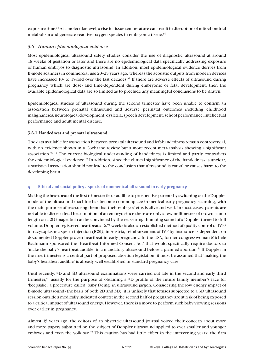exposure time.33 At a molecular level, a rise in tissue temperature can result in disruption of mitochondrial metabolism and generate reactive oxygen species in embryonic tissue.<sup>34</sup>

#### *3.6 Human epidemiological evidence*

Most epidemiological ultrasound safety studies consider the use of diagnostic ultrasound at around 18 weeks of gestation or later and there are no epidemiological data specifically addressing exposure of human embryos to diagnostic ultrasound. In addition, most epidemiological evidence derives from B-mode scanners in commercial use 20–25 years ago, whereas the acoustic outputs from modern devices have increased 10- to 15-fold over the last decades.<sup>35</sup> If there are adverse effects of ultrasound during pregnancy which are dose- and time-dependent during embryonic or fetal development, then the available epidemiological data are so limited as to preclude any meaningful conclusions to be drawn.

Epidemiological studies of ultrasound during the second trimester have been unable to confirm an association between prenatal ultrasound and adverse perinatal outcomes including childhood malignancies, neurological development, dyslexia, speech development, school performance, intellectual performance and adult mental disease.

#### **3.6.1 Handedness and prenatal ultrasound**

The data available for association between prenatal ultrasound and left-handedness remain controversial, with no evidence shown in a Cochrane review but a more recent meta-analysis showing a significant association.<sup>36-38</sup> The current biological understanding of handedness is limited and partly contradicts the epidemiological evidence.39 In addition, since the clinical significance of the handedness is unclear, a statistical association should not lead to the conclusion that ultrasound is causal or causes harm to the developing brain.

### **4. Ethical and social policy aspects of nonmedical ultrasound in early pregnancy**

Making the heartbeat of the first trimester fetus audible to prospective parents by switching on the Doppler mode of the ultrasound machine has become commonplace in medical early pregnancy scanning, with the main purpose of reassuring them that their embryo/fetus is alive and well. In most cases, parents are not able to discern fetal heart motion of an embryo since there are only a few millimetres of crown–rump length on a 2D image, but can be convinced by the reassuring thumping sound of a Doppler turned to full volume. Doppler-registered heartbeat at 6/7 weeks is also an established method of quality control of IVF/ intracytoplasmic sperm injection (ICSI); in Austria, reimbursement of IVF by insurance is dependent on documented Doppler-proven heartbeat in early pregnancy. In the USA, former congresswoman Michele Bachmann sponsored the 'Heartbeat Informed Consent Act' that would specifically require doctors to 'make the baby's heartbeat audible' in a mandatory ultrasound before a planned abortion.<sup>40</sup> If Doppler in the first trimester is a central part of proposed abortion legislation, it must be assumed that 'making the baby's heartbeat audible' is already well established in standard pregnancy care.

Until recently, 3D and 4D ultrasound examinations were carried out late in the second and early third trimester,<sup>41</sup> usually for the purpose of obtaining a 3D profile of the future family member's face for 'keepsake', a procedure called 'baby facing' in ultrasound jargon. Considering the low energy impact of B-mode ultrasound (the basis of both 2D and 3D), it is unlikely that fetuses subjected to a 3D ultrasound session outside a medically indicated context in the second half of pregnancy are at risk of being exposed to a critical impact of ultrasound energy. However, there is a move to perform such baby viewing sessions ever earlier in pregnancy.

Almost 15 years ago, the editors of an obstetric ultrasound journal voiced their concern about more and more papers submitted on the subject of Doppler ultrasound applied to ever smaller and younger embryos and even the yolk sac.<sup>42</sup> This caution has had little effect in the intervening years; the firm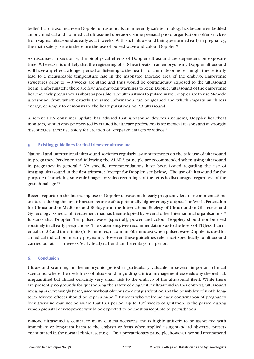belief that ultrasound, even Doppler ultrasound, is an inherently safe technology has become embedded among medical and nonmedical ultrasound operators. Some prenatal photo organisations offer services from vaginal ultrasound as early as at 6 weeks. With such ultrasound being performed early in pregnancy, the main safety issue is therefore the use of pulsed wave and colour Doppler.<sup>43</sup>

As discussed in section 3, the biophysical effects of Doppler ultrasound are dependent on exposure time. Whereas it is unlikely that the registering of 5–8 heartbeats in an embryo using Doppler ultrasound will have any effect, a longer period of 'listening to the heart' – of a minute or more – might theoretically lead to a measureable temperature rise in the insonated thoracic area of the embryo. Embryonic structures prior to 7–8 weeks are static and thus would be continuously exposed to the ultrasound beam. Unfortunately, there are few unequivocal warnings to keep Doppler ultrasound of the embryonic heart in early pregnancy as short as possible. The alternatives to pulsed wave Doppler are to use M-mode ultrasound, from which exactly the same information can be gleaned and which imparts much less energy, or simply to demonstrate the heart pulsations on 2D ultrasound.

A recent FDA consumer update has advised that ultrasound devices (including Doppler heartbeat monitors) should only be operated by trained healthcare professionals for medical reasons and it 'strongly discourages' their use solely for creation of 'keepsake' images or videos.<sup>44</sup>

#### **5. Existing guidelines for first trimester ultrasound**

National and international ultrasound societies regularly issue statements on the safe use of ultrasound in pregnancy. Prudency and following the ALARA principle are recommended when using ultrasound in pregnancy in general. $45$  No specific recommendations have been issued regarding the use of imaging ultrasound in the first trimester (except for Doppler, see below). The use of ultrasound for the purpose of providing souvenir images or video recordings of the fetus is discouraged regardless of the gestational age.46

Recent reports on the increasing use of Doppler ultrasound in early pregnancy led to recommendations on its use during the first trimester because of its potentially higher energy output. The World Federation for Ultrasound in Medicine and Biology and the International Society of Ultrasound in Obstetrics and Gynecology issued a joint statement that has been adopted by several other international organisations.<sup>45</sup> It states that Doppler (i.e. pulsed wave [spectral], power and colour Doppler) should not be used routinely in all early pregnancies. The statement gives recommendations as to the levels of TI (less than or equal to 1.0) and time limits (5–10 minutes, maximum 60 minutes) when pulsed wave Doppler is used for a medical indication in early pregnancy. However, these guidelines refer most specifically to ultrasound carried out at 11–14 weeks (early fetal) rather than the embryonic period.

#### **6. Conclusion**

Ultrasound scanning in the embryonic period is particularly valuable in several important clinical scenarios, where the usefulness of ultrasound in guiding clinical management exceeds any theoretical, unquantified but almost certainly very small, risk to the embryo of the ultrasound itself. While there are presently no grounds for questioning the safety of diagnostic ultrasound in this context, ultrasound imaging is increasingly being used without obvious medical justification and the possibility of subtle longterm adverse effects should be kept in mind.20 Patients who welcome early confirmation of pregnancy by ultrasound may not be aware that this period, up to  $10^{+0}$  weeks of gestation, is the period during which prenatal development would be expected to be most susceptible to perturbation.

B-mode ultrasound is central to many clinical decisions and is highly unlikely to be associated with immediate or long-term harm to the embryo or fetus when applied using standard obstetric presets encountered in the normal clinical setting.<sup>24</sup> On a precautionary principle, however, we still recommend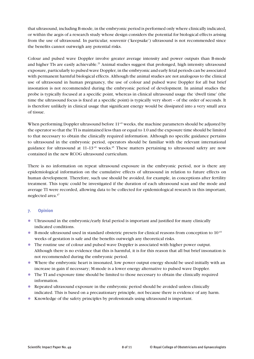that ultrasound, including B-mode, in the embryonic period is performed only where clinically indicated, or within the aegis of a research study whose design considers the potential for biological effects arising from the use of ultrasound. In particular, souvenir ('keepsake') ultrasound is not recommended since the benefits cannot outweigh any potential risks.

Colour and pulsed wave Doppler involve greater average intensity and power outputs than B-mode and higher TIs are easily achievable.<sup>21</sup> Animal studies suggest that prolonged, high intensity ultrasound exposure, particularly to pulsed wave Doppler, in the embryonic and early fetal periods can be associated with permanent harmful biological effects. Although the animal studies are not analogous to the clinical use of ultrasound in human pregnancy, the use of colour and pulsed wave Doppler for all but brief insonation is not recommended during the embryonic period of development. In animal studies the probe is typically focused at a specific point, whereas in clinical ultrasound usage the 'dwell time' (the time the ultrasound focus is fixed at a specific point) is typically very short – of the order of seconds. It is therefore unlikely in clinical usage that significant energy would be dissipated into a very small area of tissue.

When performing Doppler ultrasound before  $11^{+0}$  weeks, the machine parameters should be adjusted by the operator so that the TI is maintained less than or equal to 1.0 and the exposure time should be limited to that necessary to obtain the clinically required information. Although no specific guidance pertains to ultrasound in the embryonic period, operators should be familiar with the relevant international guidance for ultrasound at  $11-13^{+6}$  weeks.<sup>45</sup> These matters pertaining to ultrasound safety are now contained in the new RCOG ultrasound curriculum.

There is no information on repeat ultrasound exposure in the embryonic period, nor is there any epidemiological information on the cumulative effects of ultrasound in relation to future effects on human development. Therefore, such use should be avoided, for example, in conceptions after fertility treatment. This topic could be investigated if the duration of each ultrasound scan and the mode and average TI were recorded, allowing data to be collected for epidemiological research in this important, neglected area.<sup>47</sup>

#### **7. Opinion**

- Ultrasound in the embryonic/early fetal period is important and justified for many clinically indicated conditions.
- **B-mode ultrasound used in standard obstetric presets for clinical reasons from conception to 10<sup>+0</sup>** weeks of gestation is safe and the benefits outweigh any theoretical risks.
- l The routine use of colour and pulsed wave Doppler is associated with higher power output. Although there is no evidence that this is harmful, it is for this reason that all but brief insonation is not recommended during the embryonic period.
- l Where the embryonic heart is insonated, low power output energy should be used initially with an increase in gain if necessary; M-mode is a lower energy alternative to pulsed wave Doppler.
- l The TI and exposure time should be limited to those necessary to obtain the clinically required information.
- Repeated ultrasound exposure in the embryonic period should be avoided unless clinically indicated. This is based on a precautionary principle, not because there is evidence of any harm.
- l Knowledge of the safety principles by professionals using ultrasound is important.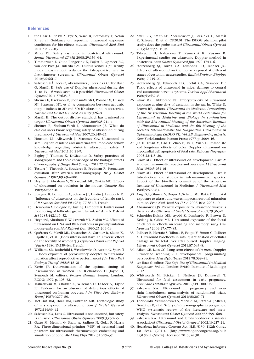#### **References**

- 1. ter Haar G, Shaw A, Pye S, Ward B, Bottomley F, Nolan R, et al. Guidance on reporting ultrasound exposure conditions for bio-effects studies. *Ultrasound Med Biol*  2011;37:177–83.
- 2. Miller DL. Safety assurance in obstetrical ultrasound. *Semin Ultrasound CT MR* 2008;29:156–64.
- 3. Timmerman E, Oude Rengerink K, Pajkrt E, Opmeer BC, van der Post JA, Bilardo CM. Ductus venosus pulsatility index measurement reduces the false-positive rate in first-trimester screening. *Ultrasound Obstet Gynecol*  2010;36:661–7.
- 4. Salvesen KÅ, Lees C, Abramowicz J, Brezinka C, Ter Haar G, Maršál K. Safe use of Doppler ultrasound during the 11 to 13 + 6-week scan: is it possible? *Ultrasound Obstet Gynecol* 2011;37:625–8.
- 5. Sheiner E, Hackmon R, Shoham-Vardi I, Pombar X, Hussey MJ, Strassner HT, et al. A comparison between acoustic output indices in 2D and 3D/4D ultrasound in obstetrics. *Ultrasound Obstet Gynecol* 2007;29:326–8.
- 6. Maršál K. The output display standard: has it missed its target? *Ultrasound Obstet Gynecol* 2005;25:211–4.
- 7. Sheiner E, Shoham-Vardi I, Abramowicz JS. What do clinical users know regarding safety of ultrasound during pregnancy? *J Ultrasound Med* 2007;26:319–25.
- 8. Houston LE, Allsworth J, Macones GA. Ultrasound is safe... right?: resident and maternal-fetal medicine fellow knowledge regarding obstetric ultrasound safety. *J Ultrasound Med* 2011;30:21–7.
- 9. Bagley J, Thomas K, DiGiacinto D. Safety practices of sonographers and their knowledge of the biologic effects of sonography. *J Diagn Med Sonogr* 2011;27:252–61.
- 10. Testart J, Thebault A, Souderes E, Frydman R. Premature ovulation after ovarian ultrasonography. *Br J Obstet Gynaecol* 1982;89:694–700.
- 11. Heyner S, Abraham V, Wikarczuk ML, Ziskin MC. Effects of ultrasound on ovulation in the mouse. *Gamete Res*  1989;22:333–8.
- 12. Bologne R, Demoulin A, Schaaps JP, Hustin J, Lambotte R. [Influence of ultrasonics on the fecundity of female rats]. *C R Seances Soc Biol Fil* 1983;177:381–7. French.
- 13. Demoulin A, Bologne R, Hustin J, Lambotte R. Is ultrasound monitoring of follicular growth harmless? *Ann N Y Acad Sci* 1985;442:146–52.
- 14. Heyner S, Abraham V, Wikarczuk ML, Ziskin MC. Effects of ultrasound on DNA and RNA synthesis in preimplantation mouse embryos. *Mol Reprod Dev* 1990;25:209–14.
- 15. Quéreux C, Mazili ML, Desroches A, Garnier R, Slaoui K, Bajolle F, et al. [Does ultrasound have an adverse effect on the fertility of women?]. *J Gynecol Obstet Biol Reprod (Paris)* 1986;15:159–64. French.
- 16. Williams SR, Rothchild I, Wesolowski D, Austin C, Speroff L. Does exposure of preovulatory oocytes to ultrasonic radiation affect reproductive performance? *J In Vitro Fert Embryo Transf* 1988;5:18–21.
- 17. Kerin JF. Determination of the optimal timing of insemination in women. In: Richardson D, Joyce D, Symonds M, editors. *Frozen Human Semen*. London: RCOG; 1979. p. 105–32.
- 18. Mahadevan M, Chalder K, Wiseman D, Leader A, Taylor PJ. Evidence for an absence of deleterious effects of ultrasound on human oocytes. *J In Vitro Fert Embryo Transf* 1987;4:277–80.
- 19. McClain RM, Hoar RM, Saltzman MB. Teratologic study of rats exposed to ultrasound. *Am J Obstet Gynecol*  1972;114:39–42.
- 20. Salvesen KA, Lees C. Ultrasound is not unsound, but safety is an issue. *Ultrasound Obstet Gynecol* 2009;33:502–5.
- 21. Gatto M, Memoli G, Shaw A, Sadhoo N, Gelat P, Harris RA. Three-dimensional printing (3DP) of neonatal head phantom for ultrasound: thermocouple embedding and simulation of bone. *Med Eng Phys* 2012;34:929–37.
- 22. Axell RG, Smith SF, Abramowicz J, Brezinka C, Maršál K, Salvesen K, et al. OP20.01: The ISUOG phantom pilot study: does the probe matter? *Ultrasound Obstet Gynecol*  2013;42 Suppl 1:104.
- 23. Takeuchi H, Nakazawa T, Kumakiri K, Kusano R. Experimental studies on ultrasonic Doppler method in obstetrics. *Acta Obstet Gynaecol Jpn* 1970;17:11–6.
- 24. Stolzenberg SJ, Torbit CA, Edmonds PD, Taenzer JC. Effects of ultrasound on the mouse exposed at different stages of gestation: acute studies. *Radiat Environ Biophys*  1980;17:245–70.
- 25. Stolzenberg SJ, Edmonds PD, Torbit CA, Sasmore DP. Toxic effects of ultrasound in mice: damage to central and autonomic nervous systems. *Toxicol Appl Pharmacol*  1980;53:432–8.
- 26. Sikov MR, Hildebrand BP. Embryotoxicity of ultrasound exposure at nine days of gestation in the rat. In: White D, Brown RE, editors. *Ultrasound in Medicine. Proceedings of the 1st Triennial Meeting of the World Federation for Ultrasound in Medicine and Biology in conjunction with the 21st Annual Meeting of the American Institute of Ultrasound in Medicine and the 6th Meeting of the Societas Internationalis pro Diagnostica Ultrasonica in Ophthalmologia (SIDUO VI). Vol. 3B: Engineering aspects.*  New York/London: Plenum Press; 1977. p. 2009–16.
- 27. Jia H, Duan Y, Cao T, Zhao B, Lv F, Yuan L. Immediate and long-term effects of color Doppler ultrasound on myocardial cell apoptosis of fetal rats. *Echocardiography* 2005;22:415–20.
- 28. Sikov MR. Effect of ultrasound on development. Part 2: Studies in mammalian species and overview. *J Ultrasound Med* 1986;5:651–61.
- 29. Sikov MR. Effect of ultrasound on development. Part 1: Introduction and studies in inframammalian species. Report of the bioeffects committee of the American Institute of Ultrasound in Medicine. *J Ultrasound Med*  1986;5:577–83.
- 30. Ang ES Jr, Gluncic V, Duque A, Schafer ME, Rakic P. Prenatal exposure to ultrasound waves impacts neuronal migration in mice. *Proc Natl Acad Sci U S A* 2006;103:12903–10.
- 31. Abramowicz JS. Prenatal exposure to ultrasound waves: is there a risk? *Ultrasound Obstet Gynecol* 2007;29:363–7.
- 32. Schneider-Kolsky ME, Ayobi Z, Lombardo P, Brown D, Kedang B, Gibbs ME. Ultrasound exposure of the foetal chick brain: effects on learning and memory. *Int J Dev Neurosci* 2009;27:677–83.
- 33. Pellicer B, Herraiz S, Táboas E, Felipo V, Simon C, Pellicer A. Ultrasound bioeffects in rats: quantification of cellular damage in the fetal liver after pulsed Doppler imaging. *Ultrasound Obstet Gynecol* 2011;37:643–8.
- 34. Aiken CE, Lees CC. Long-term effects of *in utero* Doppler ultrasound scanning – a developmental programming perspective. *Med Hypotheses* 2012;78:539–41.
- 35. ter Haar G, editor. *The Safe Use of Ultrasound in Medical Diagnosis*. 3rd ed. London: British Institute of Radiology; 2012.
- 36. Whitworth M, Bricker L, Neilson JP, Dowswell T. Ultrasound for fetal assessment in early pregnancy. *Cochrane Database Syst Rev* 2010;(4):CD007058.
- 37. Salvesen KÅ. Ultrasound in pregnancy and nonright handedness: meta-analysis of randomized trials. *Ultrasound Obstet Gynecol* 2011;38:267–71.
- 38. Torloni MR, Vedmedovska N, Merialdi M, Betrán AP, Allen T, González R, et al. Safety of ultrasonography in pregnancy: WHO systematic review of the literature and metaanalysis. *Ultrasound Obstet Gynecol* 2009;33:599–608.
- 39. Salvesen KÅ. Ultrasound and left-handedness: a sinister association? *Ultrasound Obstet Gynecol* 2002;19:217–21.
- 40. Heartbeat Informed Consent Act, H.R. 3130, 112th Cong., 1st Sess. (2011). [http://www.opencongress.org/bill/ hr3130-112/show]. Accessed 2015 Jan 30.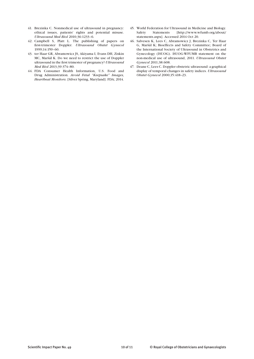- 41. Brezinka C. Nonmedical use of ultrasound in pregnancy: ethical issues, patients' rights and potential misuse. *Ultrasound Med Biol* 2010;36:1233–6.
- 42. Campbell S, Platt L. The publishing of papers on first-trimester Doppler. *Ultrasound Obstet Gynecol*  1999;14:159–60.
- 43. ter Haar GR, Abramowicz JS, Akiyama I, Evans DH, Ziskin MC, Maršál K. Do we need to restrict the use of Doppler ultrasound in the first trimester of pregnancy? *Ultrasound Med Biol* 2013;39:374–80.
- 44. FDA Consumer Health Information, U.S. Food and Drug Administration. *Avoid Fetal "Keepsake" Images, Heartbeat Monitors*. [Silver Spring, Maryland]: FDA; 2014.
- 45. World Federation for Ultrasound in Medicine and Biology. Safety Statements [http://www.wfumb.org/about/ statements.aspx]. Accessed 2014 Oct 20.
- 46. Salvesen K, Lees C, Abramowicz J, Brezinka C, Ter Haar G, Maršál K; Bioeffects and Safety Committee; Board of the International Society of Ultrasound in Obstetrics and Gynecology (ISUOG). ISUOG-WFUMB statement on the non-medical use of ultrasound, 2011. *Ultrasound Obstet Gynecol* 2011;38:608.
- 47. Deane C, Lees C. Doppler obstetric ultrasound: a graphical display of temporal changes in safety indices. *Ultrasound Obstet Gynecol* 2000;15:418–23.